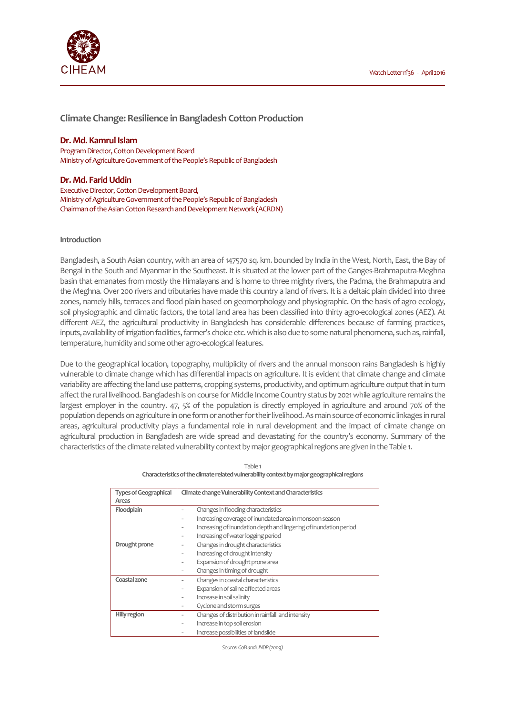

**Climate Change: Resilience in Bangladesh Cotton Production**

# **Dr. Md. Kamrul Islam**

Program Director, Cotton Development Board Ministry of Agriculture Government of the People's Republic of Bangladesh

# **Dr. Md. Farid Uddin**

Executive Director, Cotton Development Board, Ministry of Agriculture Government of the People's Republic of Bangladesh Chairman of the Asian Cotton Research and Development Network (ACRDN)

# **Introduction**

Bangladesh, a South Asian country, with an area of 147570 sq. km. bounded by India in the West, North, East, the Bay of Bengal in the South and Myanmar in the Southeast. It is situated at the lower part of the Ganges-Brahmaputra-Meghna basin that emanates from mostly the Himalayans and is home to three mighty rivers, the Padma, the Brahmaputra and the Meghna. Over 200 rivers and tributaries have made this country a land of rivers. It is a deltaic plain divided into three zones, namely hills, terraces and flood plain based on geomorphology and physiographic. On the basis of agro ecology, soil physiographic and climatic factors, the total land area has been classified into thirty agro-ecological zones (AEZ). At different AEZ, the agricultural productivity in Bangladesh has considerable differences because of farming practices, inputs, availability of irrigation facilities, farmer's choice etc. which is also due to some natural phenomena, such as, rainfall, temperature, humidity and some other agro-ecological features.

Due to the geographical location, topography, multiplicity of rivers and the annual monsoon rains Bangladesh is highly vulnerable to climate change which has differential impacts on agriculture. It is evident that climate change and climate variability are affecting the land use patterns, cropping systems, productivity, and optimum agriculture output that in turn affect the rural livelihood. Bangladesh is on course for Middle Income Country status by 2021 while agriculture remains the largest employer in the country. 47, 5% of the population is directly employed in agriculture and around 70% of the population depends on agriculture in one form or another for their livelihood. As main source of economic linkages in rural areas, agricultural productivity plays a fundamental role in rural development and the impact of climate change on agricultural production in Bangladesh are wide spread and devastating for the country's economy. Summary of the characteristics of the climate related vulnerability context by major geographical regions are given in the Table 1.

| <b>Types of Geographical</b> | Climate change Vulnerability Context and Characteristics          |  |
|------------------------------|-------------------------------------------------------------------|--|
| Areas                        |                                                                   |  |
| Floodplain                   | Changes in flooding characteristics                               |  |
|                              | Increasing coverage of inundated area in monsoon season           |  |
|                              | Increasing of inundation depth and lingering of inundation period |  |
|                              | Increasing of water logging period                                |  |
| Drought prone                | Changes in drought characteristics                                |  |
|                              | Increasing of drought intensity                                   |  |
|                              | Expansion of drought prone area                                   |  |
|                              | Changes in timing of drought                                      |  |
| Coastal zone                 | Changes in coastal characteristics                                |  |
|                              | Expansion of saline affected areas                                |  |
|                              | Increase in soil salinity                                         |  |
|                              | Cyclone and storm surges                                          |  |
| Hilly region                 | Changes of distribution in rainfall and intensity                 |  |
|                              | Increase in top soil erosion                                      |  |
|                              | Increase possibilities of landslide                               |  |
|                              |                                                                   |  |

Table 1 **Characteristics of the climate related vulnerability context by major geographical regions**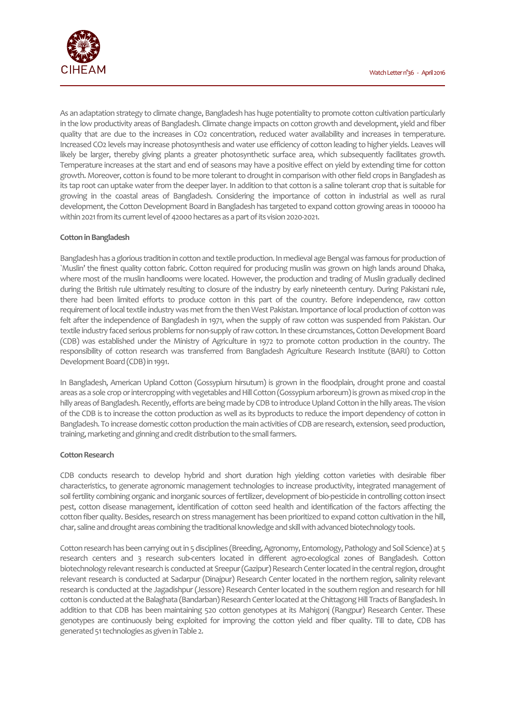

As an adaptation strategy to climate change, Bangladesh has huge potentiality to promote cotton cultivation particularly in the low productivity areas of Bangladesh. Climate change impacts on cotton growth and development, yield and fiber quality that are due to the increases in CO2 concentration, reduced water availability and increases in temperature. Increased CO2 levels may increase photosynthesis and water use efficiency of cotton leading to higher yields. Leaves will likely be larger, thereby giving plants a greater photosynthetic surface area, which subsequently facilitates growth. Temperature increases at the start and end of seasons may have a positive effect on yield by extending time for cotton growth. Moreover, cotton is found to be more tolerant to drought in comparison with other field crops in Bangladesh as its tap root can uptake water from the deeper layer. In addition to that cotton is a saline tolerant crop that is suitable for growing in the coastal areas of Bangladesh. Considering the importance of cotton in industrial as well as rural development, the Cotton Development Board in Bangladesh has targeted to expand cotton growing areas in 100000 ha within 2021 from its current level of 42000 hectares as a part of its vision 2020-2021.

# **Cotton in Bangladesh**

Bangladesh has a glorious tradition in cotton and textile production. In medieval age Bengal was famous for production of `Muslin' the finest quality cotton fabric. Cotton required for producing muslin was grown on high lands around Dhaka, where most of the muslin handlooms were located. However, the production and trading of Muslin gradually declined during the British rule ultimately resulting to closure of the industry by early nineteenth century. During Pakistani rule, there had been limited efforts to produce cotton in this part of the country. Before independence, raw cotton requirement of local textile industry was met from the then West Pakistan. Importance of local production of cotton was felt after the independence of Bangladesh in 1971, when the supply of raw cotton was suspended from Pakistan. Our textile industry faced serious problems for non-supply of raw cotton. In these circumstances, Cotton Development Board (CDB) was established under the Ministry of Agriculture in 1972 to promote cotton production in the country. The responsibility of cotton research was transferred from Bangladesh Agriculture Research Institute (BARI) to Cotton Development Board (CDB) in 1991.

In Bangladesh, American Upland Cotton (Gossypium hirsutum) is grown in the floodplain, drought prone and coastal areas as a sole crop or intercropping with vegetables and Hill Cotton (Gossypium arboreum) is grown as mixed crop in the hilly areas of Bangladesh. Recently, efforts are being made by CDB to introduce Upland Cotton in the hilly areas. The vision of the CDB is to increase the cotton production as well as its byproducts to reduce the import dependency of cotton in Bangladesh. To increase domestic cotton production the main activities of CDB are research, extension, seed production, training, marketing and ginning and credit distribution to the small farmers.

# **Cotton Research**

CDB conducts research to develop hybrid and short duration high yielding cotton varieties with desirable fiber characteristics, to generate agronomic management technologies to increase productivity, integrated management of soil fertility combining organic and inorganic sources of fertilizer, development of bio-pesticide in controlling cotton insect pest, cotton disease management, identification of cotton seed health and identification of the factors affecting the cotton fiber quality. Besides, research on stress management has been prioritized to expand cotton cultivation in the hill, char, saline and drought areas combining the traditional knowledge and skill with advanced biotechnology tools.

Cotton research has been carrying out in 5 disciplines (Breeding, Agronomy, Entomology, Pathology and Soil Science) at 5 research centers and 3 research sub-centers located in different agro-ecological zones of Bangladesh. Cotton biotechnology relevant research is conducted at Sreepur (Gazipur) Research Center located in the central region, drought relevant research is conducted at Sadarpur (Dinajpur) Research Center located in the northern region, salinity relevant research is conducted at the Jagadishpur (Jessore) Research Center located in the southern region and research for hill cotton is conducted at the Balaghata (Bandarban) Research Center located at the Chittagong Hill Tracts of Bangladesh. In addition to that CDB has been maintaining 520 cotton genotypes at its Mahigonj (Rangpur) Research Center. These genotypes are continuously being exploited for improving the cotton yield and fiber quality. Till to date, CDB has generated 51 technologies as given in Table 2.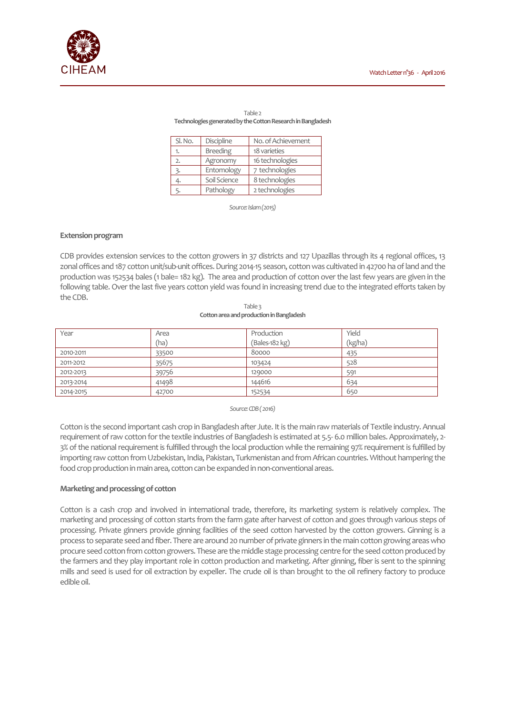

#### Table 2 **Technologies generated by the Cotton Research in Bangladesh**

| Sl. No. | Discipline      | No. of Achievement |
|---------|-----------------|--------------------|
| 1.      | <b>Breeding</b> | 18 varieties       |
| 2.      | Agronomy        | 16 technologies    |
| 3.      | Entomology      | 7 technologies     |
| 4.      | Soil Science    | 8 technologies     |
| 5.      | Pathology       | 2 technologies     |

*Source: Islam (2015)* 

#### **Extension program**

CDB provides extension services to the cotton growers in 37 districts and 127 Upazillas through its 4 regional offices, 13 zonal offices and 187 cotton unit/sub-unit offices. During 2014-15 season, cotton was cultivated in 42700 ha of land and the production was 152534 bales (1 bale= 182 kg). The area and production of cotton over the last few years are given in the following table. Over the last five years cotton yield was found in increasing trend due to the integrated efforts taken by the CDB.

Table 3 **Cotton area and production in Bangladesh** 

| Year      | Area  | Production       | Yield   |
|-----------|-------|------------------|---------|
|           | (ha)  | $(Bales-182 kg)$ | (kg/ha) |
| 2010-2011 | 33500 | 80000            | 435     |
| 2011-2012 | 35675 | 103424           | 528     |
| 2012-2013 | 39756 | 129000           | 591     |
| 2013-2014 | 41498 | 144616           | 634     |
| 2014-2015 | 42700 | 152534           | 650     |

#### *Source: CDB ( 2016)*

Cotton is the second important cash crop in Bangladesh after Jute. It is the main raw materials of Textile industry. Annual requirement of raw cotton for the textile industries of Bangladesh is estimated at 5.5- 6.0 million bales. Approximately, 2- 3% of the national requirement is fulfilled through the local production while the remaining 97% requirement is fulfilled by importing raw cotton from Uzbekistan, India, Pakistan, Turkmenistan and from African countries. Without hampering the food crop production in main area, cotton can be expanded in non-conventional areas.

### **Marketing and processing of cotton**

Cotton is a cash crop and involved in international trade, therefore, its marketing system is relatively complex. The marketing and processing of cotton starts from the farm gate after harvest of cotton and goes through various steps of processing. Private ginners provide ginning facilities of the seed cotton harvested by the cotton growers. Ginning is a process to separate seed and fiber. There are around 20 number of private ginners in the main cotton growing areas who procure seed cotton from cotton growers. These are the middle stage processing centre for the seed cotton produced by the farmers and they play important role in cotton production and marketing. After ginning, fiber is sent to the spinning mills and seed is used for oil extraction by expeller. The crude oil is than brought to the oil refinery factory to produce edible oil.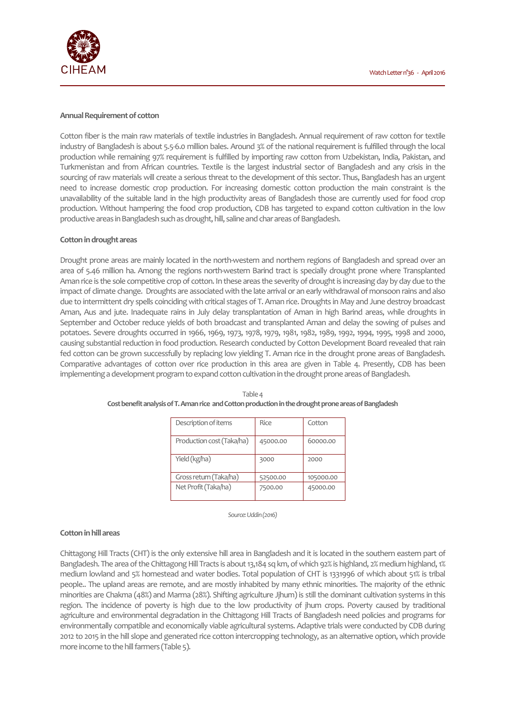

#### **Annual Requirement of cotton**

Cotton fiber is the main raw materials of textile industries in Bangladesh. Annual requirement of raw cotton for textile industry of Bangladesh is about 5.5-6.0 million bales. Around 3% of the national requirement is fulfilled through the local production while remaining 97% requirement is fulfilled by importing raw cotton from Uzbekistan, India, Pakistan, and Turkmenistan and from African countries. Textile is the largest industrial sector of Bangladesh and any crisis in the sourcing of raw materials will create a serious threat to the development of this sector. Thus, Bangladesh has an urgent need to increase domestic crop production. For increasing domestic cotton production the main constraint is the unavailability of the suitable land in the high productivity areas of Bangladesh those are currently used for food crop production. Without hampering the food crop production, CDB has targeted to expand cotton cultivation in the low productive areas in Bangladesh such as drought, hill, saline and char areas of Bangladesh.

### **Cotton in drought areas**

Drought prone areas are mainly located in the north-western and northern regions of Bangladesh and spread over an area of 5.46 million ha. Among the regions north-western Barind tract is specially drought prone where Transplanted Aman rice is the sole competitive crop of cotton. In these areas the severity of drought is increasing day by day due to the impact of climate change. Droughts are associated with the late arrival or an early withdrawal of monsoon rains and also due to intermittent dry spells coinciding with critical stages of T. Aman rice. Droughts in May and June destroy broadcast Aman, Aus and jute. Inadequate rains in July delay transplantation of Aman in high Barind areas, while droughts in September and October reduce yields of both broadcast and transplanted Aman and delay the sowing of pulses and potatoes. Severe droughts occurred in 1966, 1969, 1973, 1978, 1979, 1981, 1982, 1989, 1992, 1994, 1995, 1998 and 2000, causing substantial reduction in food production. Research conducted by Cotton Development Board revealed that rain fed cotton can be grown successfully by replacing low yielding T. Aman rice in the drought prone areas of Bangladesh. Comparative advantages of cotton over rice production in this area are given in Table 4. Presently, CDB has been implementing a development program to expand cotton cultivation in the drought prone areas of Bangladesh.

| Description of items      | Rice     | Cotton    |
|---------------------------|----------|-----------|
| Production cost (Taka/ha) | 45000.00 | 60000.00  |
| Yield (kg/ha)             | 3000     | 2000      |
| Gross return (Taka/ha)    | 52500.00 | 105000.00 |
| Net Profit (Taka/ha)      | 7500.00  | 45000.00  |

| Table 4                                                                                              |
|------------------------------------------------------------------------------------------------------|
| Cost benefit analysis of T. Aman rice and Cotton production in the drought prone areas of Bangladesh |

*Source: Uddin (2016)* 

### **Cotton in hill areas**

Chittagong Hill Tracts (CHT) is the only extensive hill area in Bangladesh and it is located in the southern eastern part of Bangladesh. The area of the Chittagong Hill Tracts is about 13,184 sq km, of which 92% is highland, 2% medium highland, 1% medium lowland and 5% homestead and water bodies. Total population of CHT is 1331996 of which about 51% is tribal people.. The upland areas are remote, and are mostly inhabited by many ethnic minorities. The majority of the ethnic minorities are Chakma (48%) and Marma (28%). Shifting agriculture Jjhum) is still the dominant cultivation systems in this region. The incidence of poverty is high due to the low productivity of jhum crops. Poverty caused by traditional agriculture and environmental degradation in the Chittagong Hill Tracts of Bangladesh need policies and programs for environmentally compatible and economically viable agricultural systems. Adaptive trials were conducted by CDB during 2012 to 2015 in the hill slope and generated rice cotton intercropping technology, as an alternative option, which provide more income to the hill farmers (Table 5).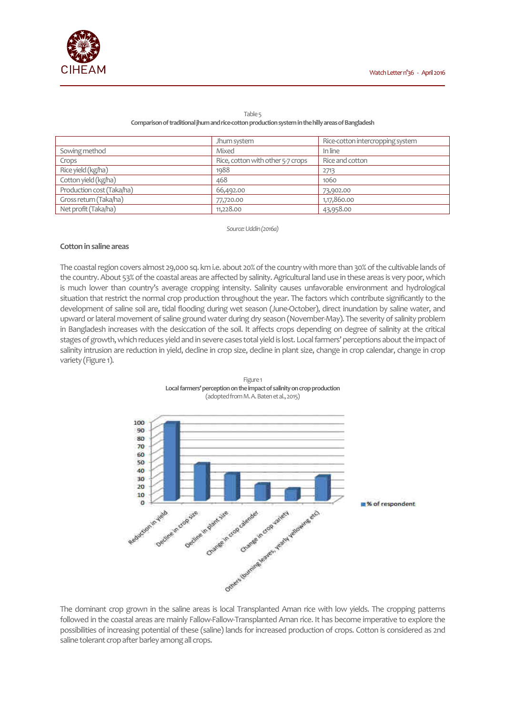|                           | Jhum system                       | Rice-cotton intercropping system |
|---------------------------|-----------------------------------|----------------------------------|
| Sowing method             | Mixed                             | In line                          |
| Crops                     | Rice, cotton with other 5-7 crops | Rice and cotton                  |
| Rice yield (kg/ha)        | 1988                              | 2713                             |
| Cotton yield (kg/ha)      | 468                               | 1060                             |
| Production cost (Taka/ha) | 66,492.00                         | 73,902.00                        |
| Gross return (Taka/ha)    | 77,720.00                         | 1,17,860.00                      |
| Net profit (Taka/ha)      | 11,228.00                         | 43,958.00                        |

#### Table 5 **Comparison of traditional jhum and rice-cotton production system in the hilly areas of Bangladesh**

*Source: Uddin (2016a)* 

# **Cotton in saline areas**

The coastal region covers almost 29,000 sq. km i.e. about 20% of the country with more than 30% of the cultivable lands of the country. About 53% of the coastal areas are affected by salinity. Agricultural land use in these areas is very poor, which is much lower than country's average cropping intensity. Salinity causes unfavorable environment and hydrological situation that restrict the normal crop production throughout the year. The factors which contribute significantly to the development of saline soil are, tidal flooding during wet season (June-October), direct inundation by saline water, and upward or lateral movement of saline ground water during dry season (November-May). The severity of salinity problem in Bangladesh increases with the desiccation of the soil. It affects crops depending on degree of salinity at the critical stages of growth, which reduces yield and in severe cases total yield is lost. Local farmers' perceptions about the impact of salinity intrusion are reduction in yield, decline in crop size, decline in plant size, change in crop calendar, change in crop variety (Figure 1).



Figure 1 **Local farmers' perception on the impact of salinity on crop production**  (adopted from M. A. Baten et al., 2015)

The dominant crop grown in the saline areas is local Transplanted Aman rice with low yields. The cropping patterns followed in the coastal areas are mainly Fallow-Fallow-Transplanted Aman rice. It has become imperative to explore the possibilities of increasing potential of these (saline) lands for increased production of crops. Cotton is considered as 2nd saline tolerant crop after barley among all crops.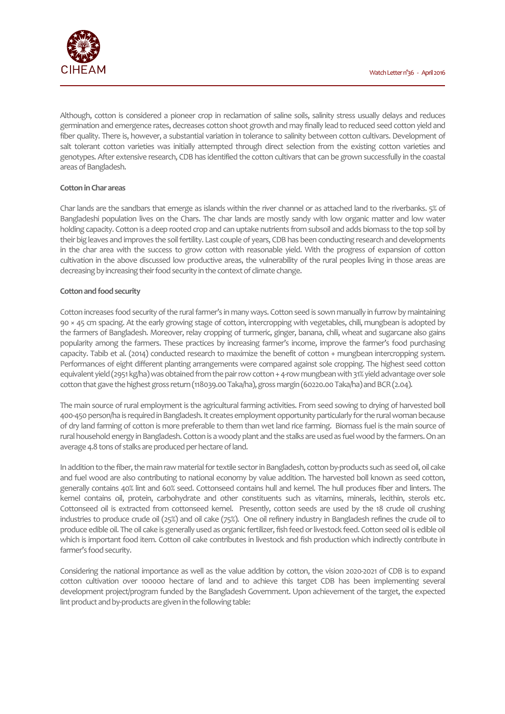

Although, cotton is considered a pioneer crop in reclamation of saline soils, salinity stress usually delays and reduces germination and emergence rates, decreases cotton shoot growth and may finally lead to reduced seed cotton yield and fiber quality. There is, however, a substantial variation in tolerance to salinity between cotton cultivars. Development of salt tolerant cotton varieties was initially attempted through direct selection from the existing cotton varieties and genotypes. After extensive research, CDB has identified the cotton cultivars that can be grown successfully in the coastal areas of Bangladesh.

# **Cotton in Char areas**

Char lands are the sandbars that emerge as islands within the river channel or as attached land to the riverbanks. 5% of Bangladeshi population lives on the Chars. The char lands are mostly sandy with low organic matter and low water holding capacity. Cotton is a deep rooted crop and can uptake nutrients from subsoil and adds biomass to the top soil by their big leaves and improves the soil fertility. Last couple of years, CDB has been conducting research and developments in the char area with the success to grow cotton with reasonable yield. With the progress of expansion of cotton cultivation in the above discussed low productive areas, the vulnerability of the rural peoples living in those areas are decreasing by increasing their food security in the context of climate change.

### **Cotton and food security**

Cotton increases food security of the rural farmer's in many ways. Cotton seed is sown manually in furrow by maintaining 90 × 45 cm spacing. At the early growing stage of cotton, intercropping with vegetables, chili, mungbean is adopted by the farmers of Bangladesh. Moreover, relay cropping of turmeric, ginger, banana, chili, wheat and sugarcane also gains popularity among the farmers. These practices by increasing farmer's income, improve the farmer's food purchasing capacity. Tabib et al. (2014) conducted research to maximize the benefit of cotton + mungbean intercropping system. Performances of eight different planting arrangements were compared against sole cropping. The highest seed cotton equivalent yield (2951 kg/ha) was obtained from the pair row cotton + 4-row mungbean with 31% yield advantage over sole cotton that gave the highest gross return (118039.00 Taka/ha), gross margin (60220.00 Taka/ha) and BCR (2.04).

The main source of rural employment is the agricultural farming activities. From seed sowing to drying of harvested boll 400-450 person/ha is required in Bangladesh. It creates employment opportunity particularly for the rural woman because of dry land farming of cotton is more preferable to them than wet land rice farming. Biomass fuel is the main source of rural household energy in Bangladesh. Cotton is a woody plant and the stalks are used as fuel wood by the farmers. On an average 4.8 tons of stalks are produced per hectare of land.

In addition to the fiber, the main raw material for textile sector in Bangladesh, cotton by-products such as seed oil, oil cake and fuel wood are also contributing to national economy by value addition. The harvested boll known as seed cotton, generally contains 40% lint and 60% seed. Cottonseed contains hull and kernel. The hull produces fiber and linters. The kernel contains oil, protein, carbohydrate and other constituents such as vitamins, minerals, lecithin, sterols etc. Cottonseed oil is extracted from cottonseed kernel. Presently, cotton seeds are used by the 18 crude oil crushing industries to produce crude oil (25%) and oil cake (75%). One oil refinery industry in Bangladesh refines the crude oil to produce edible oil. The oil cake is generally used as organic fertilizer, fish feed or livestock feed. Cotton seed oil is edible oil which is important food item. Cotton oil cake contributes in livestock and fish production which indirectly contribute in farmer's food security.

Considering the national importance as well as the value addition by cotton, the vision 2020-2021 of CDB is to expand cotton cultivation over 100000 hectare of land and to achieve this target CDB has been implementing several development project/program funded by the Bangladesh Government. Upon achievement of the target, the expected lint product and by-products are given in the following table: